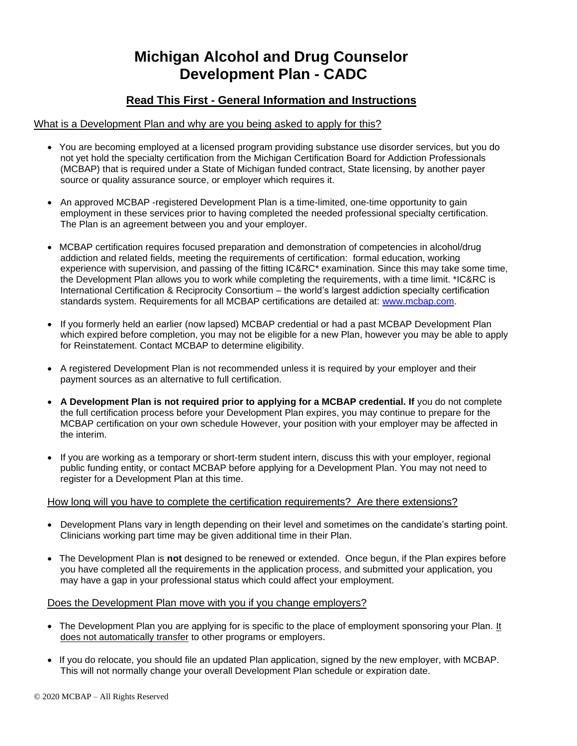# **Michigan Alcohol and Drug Counselor Development Plan - CADC**

## **Read This First - General Information and Instructions**

#### What is a Development Plan and why are you being asked to apply for this?

- You are becoming employed at a licensed program providing substance use disorder services, but you do not yet hold the specialty certification from the Michigan Certification Board for Addiction Professionals (MCBAP) that is required under a State of Michigan funded contract, State licensing, by another payer source or quality assurance source, or employer which requires it.
- An approved MCBAP -registered Development Plan is a time-limited, one-time opportunity to gain employment in these services prior to having completed the needed professional specialty certification. The Plan is an agreement between you and your employer.
- MCBAP certification requires focused preparation and demonstration of competencies in alcohol/drug addiction and related fields, meeting the requirements of certification: formal education, working experience with supervision, and passing of the fitting IC&RC\* examination. Since this may take some time, the Development Plan allows you to work while completing the requirements, with a time limit. \*IC&RC is International Certification & Reciprocity Consortium – the world's largest addiction specialty certification standards system. Requirements for all MCBAP certifications are detailed at: [www.mcbap.com.](http://www.mcbap.com/)
- If you formerly held an earlier (now lapsed) MCBAP credential or had a past MCBAP Development Plan which expired before completion, you may not be eligible for a new Plan, however you may be able to apply for Reinstatement. Contact MCBAP to determine eligibility.
- A registered Development Plan is not recommended unless it is required by your employer and their payment sources as an alternative to full certification.
- **A Development Plan is not required prior to applying for a MCBAP credential. If** you do not complete the full certification process before your Development Plan expires, you may continue to prepare for the MCBAP certification on your own schedule However, your position with your employer may be affected in the interim.
- If you are working as a temporary or short-term student intern, discuss this with your employer, regional public funding entity, or contact MCBAP before applying for a Development Plan. You may not need to register for a Development Plan at this time.

#### How long will you have to complete the certification requirements? Are there extensions?

- Development Plans vary in length depending on their level and sometimes on the candidate's starting point. Clinicians working part time may be given additional time in their Plan.
- The Development Plan is **not** designed to be renewed or extended. Once begun, if the Plan expires before you have completed all the requirements in the application process, and submitted your application, you may have a gap in your professional status which could affect your employment.

#### Does the Development Plan move with you if you change employers?

- The Development Plan you are applying for is specific to the place of employment sponsoring your Plan. It does not automatically transfer to other programs or employers.
- If you do relocate, you should file an updated Plan application, signed by the new employer, with MCBAP. This will not normally change your overall Development Plan schedule or expiration date.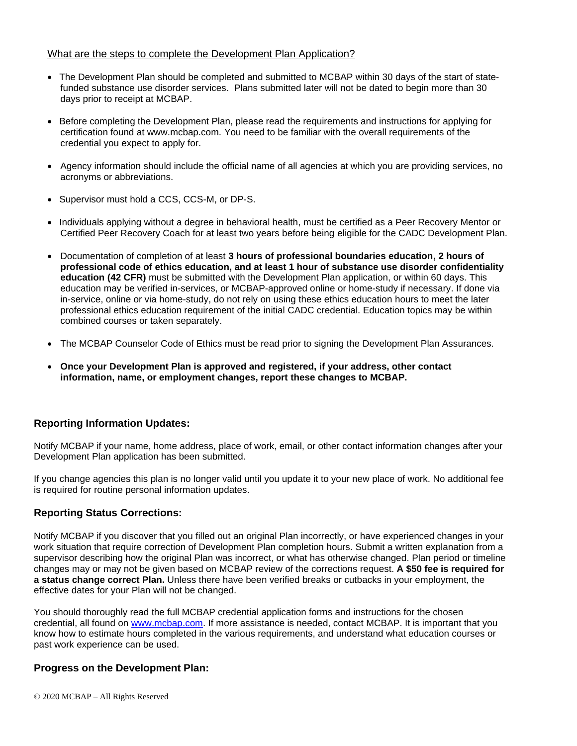#### What are the steps to complete the Development Plan Application?

- The Development Plan should be completed and submitted to MCBAP within 30 days of the start of statefunded substance use disorder services. Plans submitted later will not be dated to begin more than 30 days prior to receipt at MCBAP.
- Before completing the Development Plan, please read the requirements and instructions for applying for certification found at www.mcbap.com. You need to be familiar with the overall requirements of the credential you expect to apply for.
- Agency information should include the official name of all agencies at which you are providing services, no acronyms or abbreviations.
- Supervisor must hold a CCS, CCS-M, or DP-S.
- Individuals applying without a degree in behavioral health, must be certified as a Peer Recovery Mentor or Certified Peer Recovery Coach for at least two years before being eligible for the CADC Development Plan.
- Documentation of completion of at least **3 hours of professional boundaries education, 2 hours of professional code of ethics education, and at least 1 hour of substance use disorder confidentiality education (42 CFR)** must be submitted with the Development Plan application, or within 60 days. This education may be verified in-services, or MCBAP-approved online or home-study if necessary. If done via in-service, online or via home-study, do not rely on using these ethics education hours to meet the later professional ethics education requirement of the initial CADC credential. Education topics may be within combined courses or taken separately.
- The MCBAP Counselor Code of Ethics must be read prior to signing the Development Plan Assurances.
- **Once your Development Plan is approved and registered, if your address, other contact information, name, or employment changes, report these changes to MCBAP.**

### **Reporting Information Updates:**

Notify MCBAP if your name, home address, place of work, email, or other contact information changes after your Development Plan application has been submitted.

If you change agencies this plan is no longer valid until you update it to your new place of work. No additional fee is required for routine personal information updates.

#### **Reporting Status Corrections:**

Notify MCBAP if you discover that you filled out an original Plan incorrectly, or have experienced changes in your work situation that require correction of Development Plan completion hours. Submit a written explanation from a supervisor describing how the original Plan was incorrect, or what has otherwise changed. Plan period or timeline changes may or may not be given based on MCBAP review of the corrections request. **A \$50 fee is required for a status change correct Plan.** Unless there have been verified breaks or cutbacks in your employment, the effective dates for your Plan will not be changed.

You should thoroughly read the full MCBAP credential application forms and instructions for the chosen credential, all found on [www.mcbap.com.](http://www.mcbap.com/) If more assistance is needed, contact MCBAP. It is important that you know how to estimate hours completed in the various requirements, and understand what education courses or past work experience can be used.

#### **Progress on the Development Plan:**